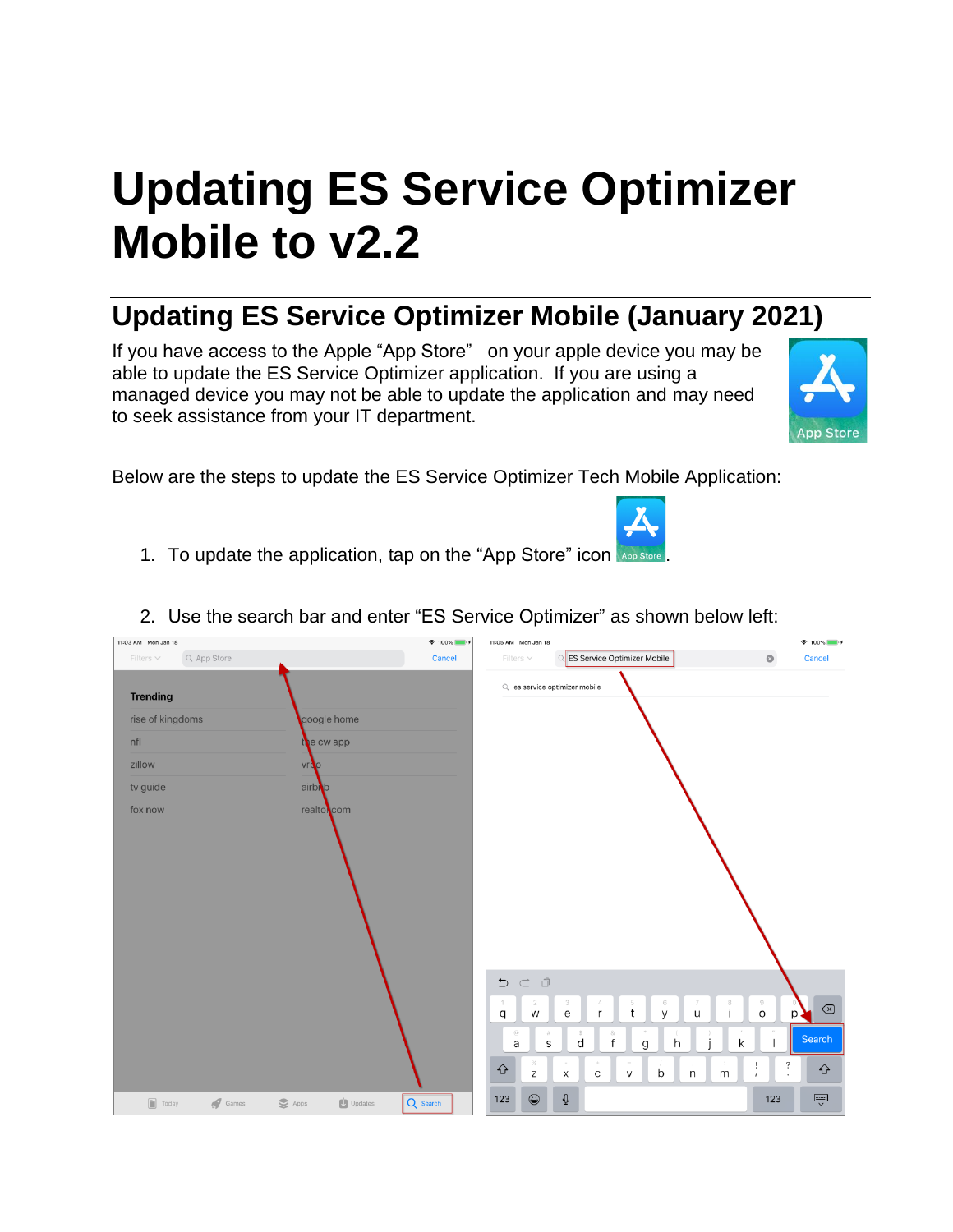## **Updating ES Service Optimizer Mobile to v2.2**

## **Updating ES Service Optimizer Mobile (January 2021)**

If you have access to the Apple "App Store" on your apple device you may be able to update the ES Service Optimizer application. If you are using a managed device you may not be able to update the application and may need to seek assistance from your IT department.



Below are the steps to update the ES Service Optimizer Tech Mobile Application:

1. To update the application, tap on the "App Store" icon

| 11:03 AM Mon Jan 18           | $9 100\%$ $+$                                                          | 11:05 AM Mon Jan 18                                                                                                                                             | $\approx 100\%$                               |
|-------------------------------|------------------------------------------------------------------------|-----------------------------------------------------------------------------------------------------------------------------------------------------------------|-----------------------------------------------|
| Q App Store<br>Filters $\vee$ | Cancel                                                                 | <b>ES Service Optimizer Mobile</b><br>Filters $\vee$<br>$\Omega$                                                                                                | Cancel<br>$\circledcirc$                      |
| <b>Trending</b>               |                                                                        | Q es service optimizer mobile                                                                                                                                   |                                               |
| rise of kingdoms              | google home                                                            |                                                                                                                                                                 |                                               |
| nfl                           | the cw app                                                             |                                                                                                                                                                 |                                               |
| zillow                        | <b>vrt</b> o                                                           |                                                                                                                                                                 |                                               |
| tv guide                      | airbib                                                                 |                                                                                                                                                                 |                                               |
| fox now                       | realtoncom                                                             |                                                                                                                                                                 |                                               |
|                               |                                                                        |                                                                                                                                                                 |                                               |
|                               |                                                                        |                                                                                                                                                                 |                                               |
|                               |                                                                        |                                                                                                                                                                 |                                               |
|                               |                                                                        |                                                                                                                                                                 |                                               |
|                               |                                                                        |                                                                                                                                                                 |                                               |
|                               |                                                                        |                                                                                                                                                                 |                                               |
|                               |                                                                        | ちごう                                                                                                                                                             |                                               |
|                               |                                                                        | 3<br>5<br>6<br>1<br>$\overline{2}$<br>4<br>$\frac{8}{1}$<br>t<br>$\mathsf{y}$<br>$\mathsf{e}% _{0}\left( \mathsf{e}\right)$<br>W<br>$\mathsf{r}$<br>$\cup$<br>q | $\rm{g}$<br>$\textcircled{x}$<br>$\circ$<br>p |
|                               |                                                                        | $\circledcirc$<br>$\#$<br>$\&$<br>S.<br>$\mathsf{f}$<br>d<br>h<br>$\mathsf g$<br>$\sf S$<br>a                                                                   | $\mathcal{F}\mathcal{F}$<br>Search<br>k       |
|                               |                                                                        | $\%$<br>n,<br>⇧<br>b                                                                                                                                            | $\ddot{\phantom{0}}$<br>ļ<br>♦                |
|                               |                                                                        | ${\sf m}$<br>$\mathsf Z$<br>X<br>$\mathsf{C}$<br>$\mathsf{V}$<br>$\mathsf{n}$                                                                                   | $\overline{1}$<br>$\ddot{\phantom{0}}$        |
| $\boxed{\blacksquare}$ Today  | $\bigcup$ Updates<br>$\sqrt{2}$ Games<br>$\mathbf{S}$ Apps<br>Q Search | $\mathbb Q$<br>$\circledcirc$<br>123                                                                                                                            | Ų<br>123                                      |

2. Use the search bar and enter "ES Service Optimizer" as shown below left: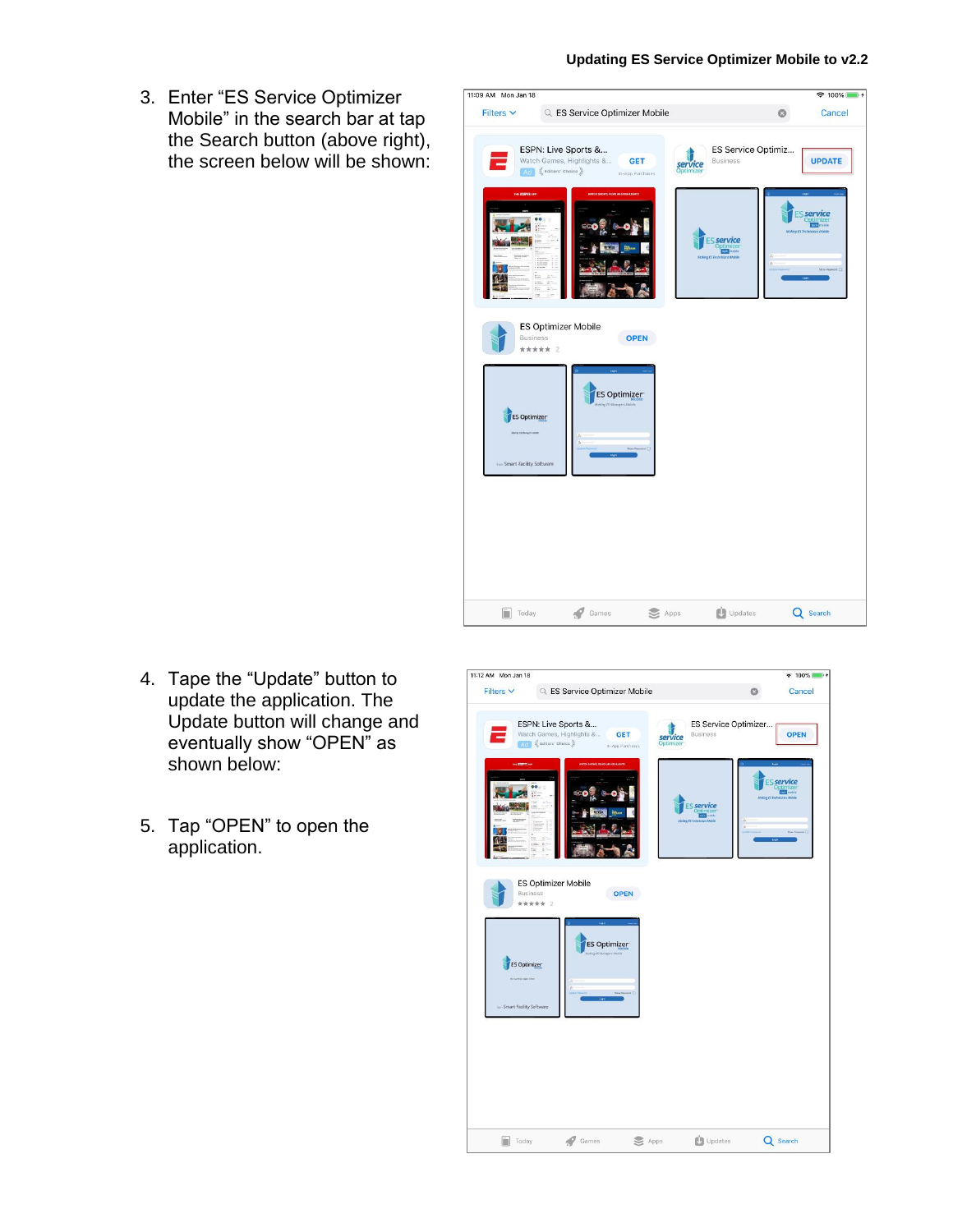3. Enter "ES Service Optimizer Mobile" in the search bar at tap the Search button (above right), the screen below will be shown:



- 4. Tape the "Update" button to update the application. The Update button will change and eventually show "OPEN" as shown below:
- 5. Tap "OPEN" to open the application.